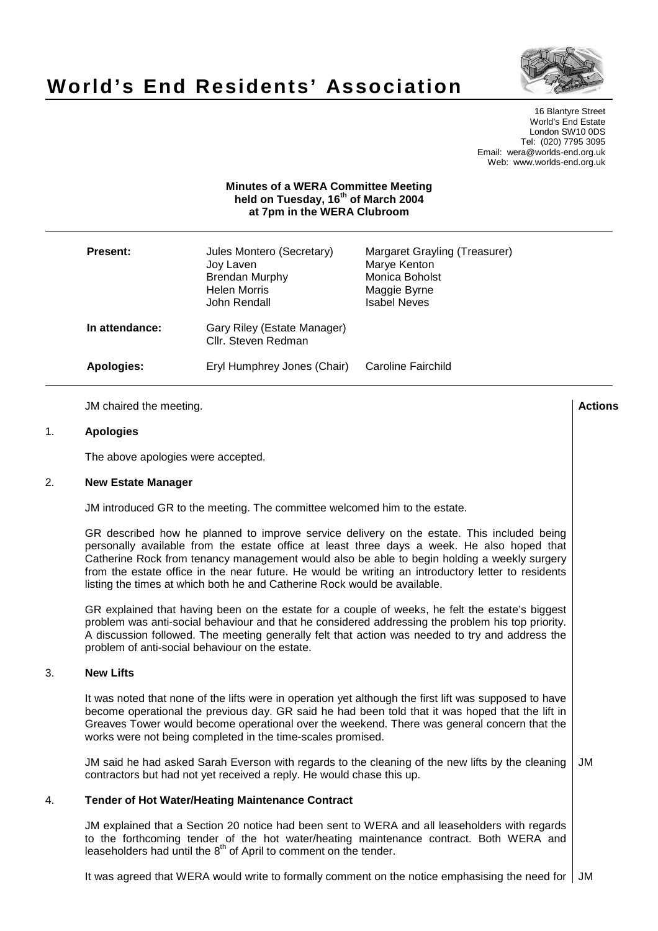# **World's End Residents' Association**



16 Blantyre Street World's End Estate London SW10 0DS Tel: (020) 7795 3095 Email: wera@worlds-end.org.uk Web: www.worlds-end.org.uk

## **Minutes of a WERA Committee Meeting held on Tuesday, 16th of March 2004 at 7pm in the WERA Clubroom**

| <b>Present:</b> | Jules Montero (Secretary)<br>Joy Laven<br><b>Brendan Murphy</b><br><b>Helen Morris</b><br>John Rendall | Margaret Grayling (Treasurer)<br>Marye Kenton<br>Monica Boholst<br>Maggie Byrne<br><b>Isabel Neves</b> |
|-----------------|--------------------------------------------------------------------------------------------------------|--------------------------------------------------------------------------------------------------------|
| In attendance:  | Gary Riley (Estate Manager)<br>Cllr. Steven Redman                                                     |                                                                                                        |
| Apologies:      | Eryl Humphrey Jones (Chair)                                                                            | Caroline Fairchild                                                                                     |

JM chaired the meeting. **Actions**

## 1. **Apologies**

The above apologies were accepted.

#### 2. **New Estate Manager**

JM introduced GR to the meeting. The committee welcomed him to the estate.

GR described how he planned to improve service delivery on the estate. This included being personally available from the estate office at least three days a week. He also hoped that Catherine Rock from tenancy management would also be able to begin holding a weekly surgery from the estate office in the near future. He would be writing an introductory letter to residents listing the times at which both he and Catherine Rock would be available.

GR explained that having been on the estate for a couple of weeks, he felt the estate's biggest problem was anti-social behaviour and that he considered addressing the problem his top priority. A discussion followed. The meeting generally felt that action was needed to try and address the problem of anti-social behaviour on the estate.

#### 3. **New Lifts**

It was noted that none of the lifts were in operation yet although the first lift was supposed to have become operational the previous day. GR said he had been told that it was hoped that the lift in Greaves Tower would become operational over the weekend. There was general concern that the works were not being completed in the time-scales promised.

JM said he had asked Sarah Everson with regards to the cleaning of the new lifts by the cleaning contractors but had not yet received a reply. He would chase this up. JM

#### 4. **Tender of Hot Water/Heating Maintenance Contract**

JM explained that a Section 20 notice had been sent to WERA and all leaseholders with regards to the forthcoming tender of the hot water/heating maintenance contract. Both WERA and leaseholders had until the  $8<sup>th</sup>$  of April to comment on the tender.

It was agreed that WERA would write to formally comment on the notice emphasising the need for  $\vert$  JM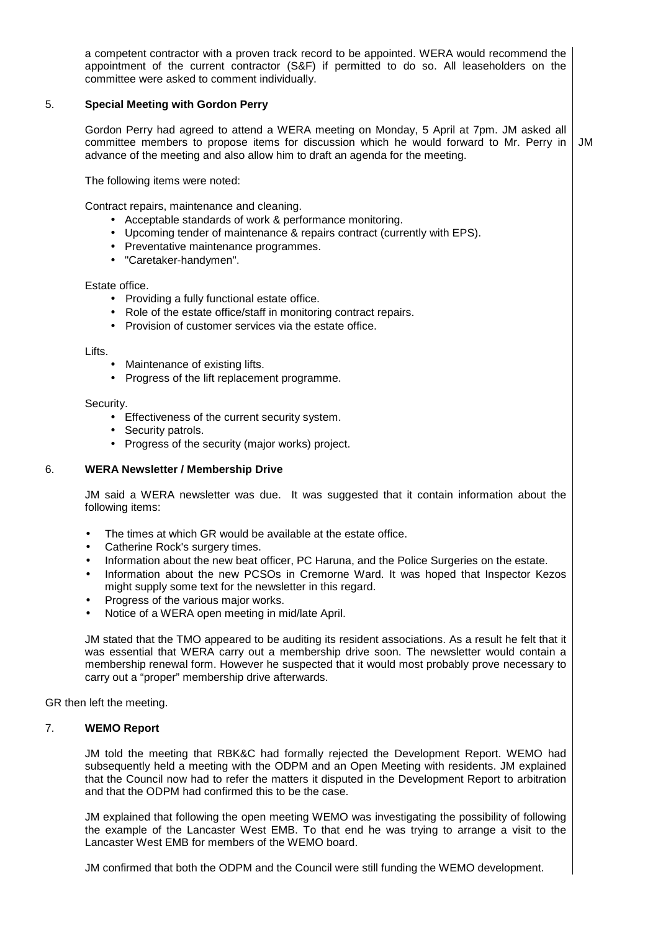a competent contractor with a proven track record to be appointed. WERA would recommend the appointment of the current contractor (S&F) if permitted to do so. All leaseholders on the committee were asked to comment individually.

# 5. **Special Meeting with Gordon Perry**

Gordon Perry had agreed to attend a WERA meeting on Monday, 5 April at 7pm. JM asked all committee members to propose items for discussion which he would forward to Mr. Perry in advance of the meeting and also allow him to draft an agenda for the meeting. JM

The following items were noted:

Contract repairs, maintenance and cleaning.

- Acceptable standards of work & performance monitoring.
- Upcoming tender of maintenance & repairs contract (currently with EPS).
- Preventative maintenance programmes.
- "Caretaker-handymen".

#### Estate office.

- Providing a fully functional estate office.
- Role of the estate office/staff in monitoring contract repairs.
- Provision of customer services via the estate office.

#### Lifts.

- Maintenance of existing lifts.
- Progress of the lift replacement programme.

#### Security.

- Effectiveness of the current security system.
- Security patrols.
- Progress of the security (major works) project.

# 6. **WERA Newsletter / Membership Drive**

JM said a WERA newsletter was due. It was suggested that it contain information about the following items:

- The times at which GR would be available at the estate office.
- Catherine Rock's surgery times.
- Information about the new beat officer, PC Haruna, and the Police Surgeries on the estate.
- Information about the new PCSOs in Cremorne Ward. It was hoped that Inspector Kezos might supply some text for the newsletter in this regard.
- Progress of the various major works.
- Notice of a WERA open meeting in mid/late April.

JM stated that the TMO appeared to be auditing its resident associations. As a result he felt that it was essential that WERA carry out a membership drive soon. The newsletter would contain a membership renewal form. However he suspected that it would most probably prove necessary to carry out a "proper" membership drive afterwards.

GR then left the meeting.

#### 7. **WEMO Report**

JM told the meeting that RBK&C had formally rejected the Development Report. WEMO had subsequently held a meeting with the ODPM and an Open Meeting with residents. JM explained that the Council now had to refer the matters it disputed in the Development Report to arbitration and that the ODPM had confirmed this to be the case.

JM explained that following the open meeting WEMO was investigating the possibility of following the example of the Lancaster West EMB. To that end he was trying to arrange a visit to the Lancaster West EMB for members of the WEMO board.

JM confirmed that both the ODPM and the Council were still funding the WEMO development.